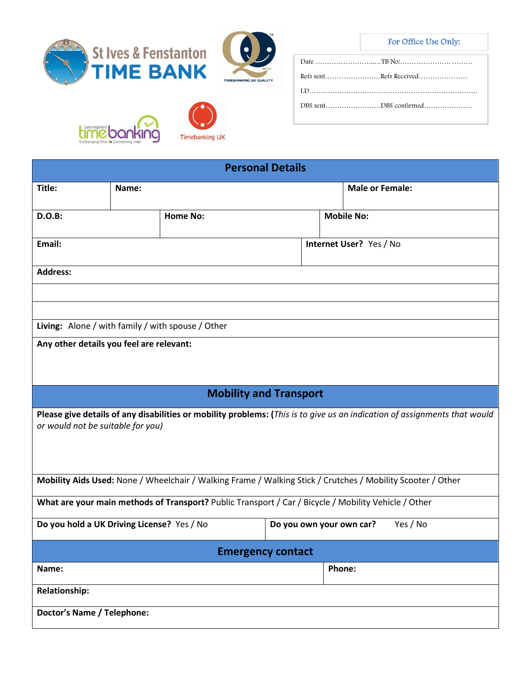TIMEBANKING UK QUALITY

## For Office Use Only:







| Refs sentRefs Received |
|------------------------|
|                        |
|                        |
|                        |

| <b>Personal Details</b>                                                                              |                                                                                    |                               |                   |                        |                                                                                                                           |  |
|------------------------------------------------------------------------------------------------------|------------------------------------------------------------------------------------|-------------------------------|-------------------|------------------------|---------------------------------------------------------------------------------------------------------------------------|--|
| Title:                                                                                               | Name:                                                                              |                               |                   | <b>Male or Female:</b> |                                                                                                                           |  |
| <b>D.O.B:</b>                                                                                        |                                                                                    | <b>Home No:</b>               | <b>Mobile No:</b> |                        |                                                                                                                           |  |
| Email:                                                                                               |                                                                                    |                               |                   |                        | Internet User? Yes / No                                                                                                   |  |
| <b>Address:</b>                                                                                      |                                                                                    |                               |                   |                        |                                                                                                                           |  |
|                                                                                                      |                                                                                    |                               |                   |                        |                                                                                                                           |  |
|                                                                                                      |                                                                                    |                               |                   |                        |                                                                                                                           |  |
| Living: Alone / with family / with spouse / Other                                                    |                                                                                    |                               |                   |                        |                                                                                                                           |  |
| Any other details you feel are relevant:                                                             |                                                                                    |                               |                   |                        |                                                                                                                           |  |
|                                                                                                      |                                                                                    | <b>Mobility and Transport</b> |                   |                        |                                                                                                                           |  |
| or would not be suitable for you)                                                                    |                                                                                    |                               |                   |                        | Please give details of any disabilities or mobility problems: (This is to give us an indication of assignments that would |  |
|                                                                                                      |                                                                                    |                               |                   |                        | Mobility Aids Used: None / Wheelchair / Walking Frame / Walking Stick / Crutches / Mobility Scooter / Other               |  |
| What are your main methods of Transport? Public Transport / Car / Bicycle / Mobility Vehicle / Other |                                                                                    |                               |                   |                        |                                                                                                                           |  |
|                                                                                                      | Do you hold a UK Driving License? Yes / No<br>Yes / No<br>Do you own your own car? |                               |                   |                        |                                                                                                                           |  |
| <b>Emergency contact</b>                                                                             |                                                                                    |                               |                   |                        |                                                                                                                           |  |
| Name:                                                                                                |                                                                                    |                               |                   | Phone:                 |                                                                                                                           |  |
| <b>Relationship:</b>                                                                                 |                                                                                    |                               |                   |                        |                                                                                                                           |  |
| <b>Doctor's Name / Telephone:</b>                                                                    |                                                                                    |                               |                   |                        |                                                                                                                           |  |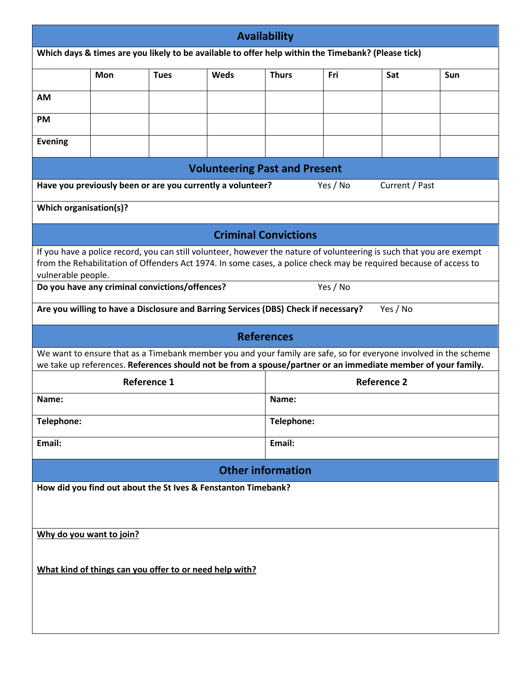| <b>Availability</b>                                                                                                                                                                                                                                             |                                                                                                    |             |                                      |              |          |                |     |
|-----------------------------------------------------------------------------------------------------------------------------------------------------------------------------------------------------------------------------------------------------------------|----------------------------------------------------------------------------------------------------|-------------|--------------------------------------|--------------|----------|----------------|-----|
|                                                                                                                                                                                                                                                                 | Which days & times are you likely to be available to offer help within the Timebank? (Please tick) |             |                                      |              |          |                |     |
|                                                                                                                                                                                                                                                                 | <b>Mon</b>                                                                                         | <b>Tues</b> | Weds                                 | <b>Thurs</b> | Fri      | Sat            | Sun |
| <b>AM</b>                                                                                                                                                                                                                                                       |                                                                                                    |             |                                      |              |          |                |     |
| <b>PM</b>                                                                                                                                                                                                                                                       |                                                                                                    |             |                                      |              |          |                |     |
| <b>Evening</b>                                                                                                                                                                                                                                                  |                                                                                                    |             |                                      |              |          |                |     |
|                                                                                                                                                                                                                                                                 |                                                                                                    |             | <b>Volunteering Past and Present</b> |              |          |                |     |
|                                                                                                                                                                                                                                                                 | Have you previously been or are you currently a volunteer?                                         |             |                                      |              | Yes / No | Current / Past |     |
| Which organisation(s)?                                                                                                                                                                                                                                          |                                                                                                    |             |                                      |              |          |                |     |
|                                                                                                                                                                                                                                                                 |                                                                                                    |             | <b>Criminal Convictions</b>          |              |          |                |     |
| If you have a police record, you can still volunteer, however the nature of volunteering is such that you are exempt<br>from the Rehabilitation of Offenders Act 1974. In some cases, a police check may be required because of access to<br>vulnerable people. |                                                                                                    |             |                                      |              |          |                |     |
|                                                                                                                                                                                                                                                                 | Do you have any criminal convictions/offences?                                                     |             |                                      |              | Yes / No |                |     |
|                                                                                                                                                                                                                                                                 | Are you willing to have a Disclosure and Barring Services (DBS) Check if necessary?                |             |                                      |              |          | Yes / No       |     |
|                                                                                                                                                                                                                                                                 |                                                                                                    |             | <b>References</b>                    |              |          |                |     |
| We want to ensure that as a Timebank member you and your family are safe, so for everyone involved in the scheme<br>we take up references. References should not be from a spouse/partner or an immediate member of your family.                                |                                                                                                    |             |                                      |              |          |                |     |
| <b>Reference 1</b>                                                                                                                                                                                                                                              |                                                                                                    |             | <b>Reference 2</b>                   |              |          |                |     |
| Name:                                                                                                                                                                                                                                                           |                                                                                                    |             | Name:                                |              |          |                |     |
| Telephone:                                                                                                                                                                                                                                                      |                                                                                                    |             |                                      | Telephone:   |          |                |     |
| Email:                                                                                                                                                                                                                                                          |                                                                                                    |             |                                      | Email:       |          |                |     |
| <b>Other information</b>                                                                                                                                                                                                                                        |                                                                                                    |             |                                      |              |          |                |     |
| How did you find out about the St Ives & Fenstanton Timebank?                                                                                                                                                                                                   |                                                                                                    |             |                                      |              |          |                |     |
| Why do you want to join?                                                                                                                                                                                                                                        |                                                                                                    |             |                                      |              |          |                |     |
| What kind of things can you offer to or need help with?                                                                                                                                                                                                         |                                                                                                    |             |                                      |              |          |                |     |
|                                                                                                                                                                                                                                                                 |                                                                                                    |             |                                      |              |          |                |     |